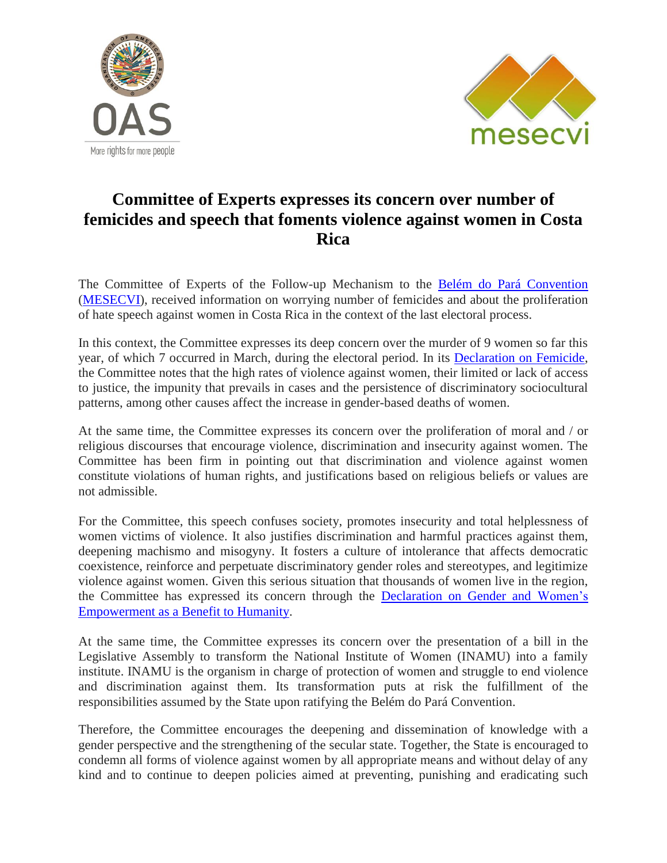



## **Committee of Experts expresses its concern over number of femicides and speech that foments violence against women in Costa Rica**

The Committee of Experts of the Follow-up Mechanism to the [Belém do Pará Convention](http://www.oas.org/en/mesecvi/docs/BelemDoPara-ENGLISH.pdf) [\(MESECVI\)](http://www.oas.org/en/mesecvi/about.asp), received information on worrying number of femicides and about the proliferation of hate speech against women in Costa Rica in the context of the last electoral process.

In this context, the Committee expresses its deep concern over the murder of 9 women so far this year, of which 7 occurred in March, during the electoral period. In its [Declaration on Femicide,](http://www.oas.org/en/mesecvi/docs/DeclaracionFemicidio-En.pdf) the Committee notes that the high rates of violence against women, their limited or lack of access to justice, the impunity that prevails in cases and the persistence of discriminatory sociocultural patterns, among other causes affect the increase in gender-based deaths of women.

At the same time, the Committee expresses its concern over the proliferation of moral and / or religious discourses that encourage violence, discrimination and insecurity against women. The Committee has been firm in pointing out that discrimination and violence against women constitute violations of human rights, and justifications based on religious beliefs or values are not admissible.

For the Committee, this speech confuses society, promotes insecurity and total helplessness of women victims of violence. It also justifies discrimination and harmful practices against them, deepening machismo and misogyny. It fosters a culture of intolerance that affects democratic coexistence, reinforce and perpetuate discriminatory gender roles and stereotypes, and legitimize violence against women. Given this serious situation that thousands of women live in the region, the Committee has expressed its concern through the [Declaration on Gender and Women's](http://www.oas.org/en/mesecvi/docs/DeclaracionIgualdadGenero-EN.pdf) [Empowerment as a Benefit to](http://www.oas.org/en/mesecvi/docs/DeclaracionIgualdadGenero-EN.pdf) Humanity.

At the same time, the Committee expresses its concern over the presentation of a bill in the Legislative Assembly to transform the National Institute of Women (INAMU) into a family institute. INAMU is the organism in charge of protection of women and struggle to end violence and discrimination against them. Its transformation puts at risk the fulfillment of the responsibilities assumed by the State upon ratifying the Belém do Pará Convention.

Therefore, the Committee encourages the deepening and dissemination of knowledge with a gender perspective and the strengthening of the secular state. Together, the State is encouraged to condemn all forms of violence against women by all appropriate means and without delay of any kind and to continue to deepen policies aimed at preventing, punishing and eradicating such